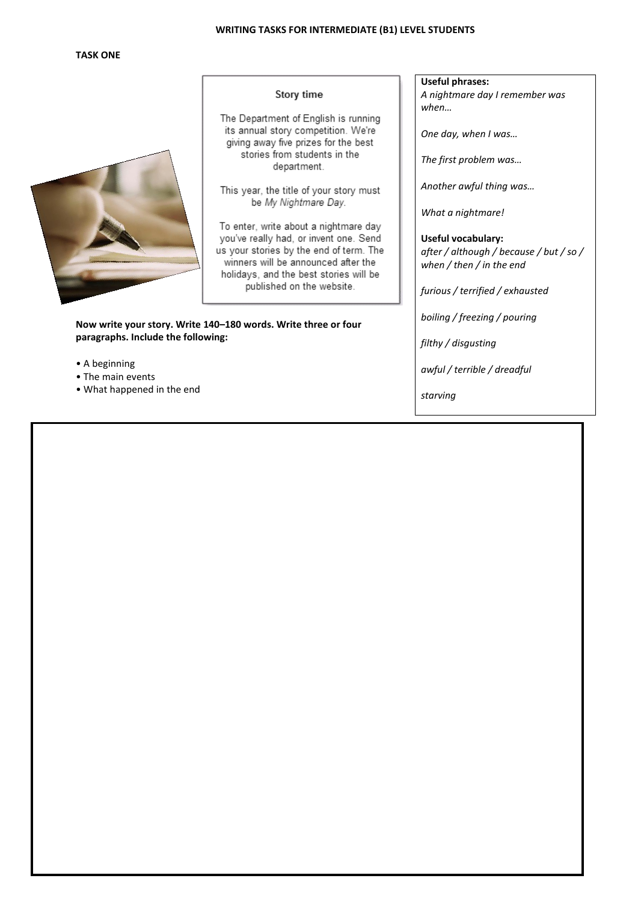### **WRITING TASKS FOR INTERMEDIATE (B1) LEVEL STUDENTS**

# **TASK ONE**



### Story time

The Department of English is running its annual story competition. We're giving away five prizes for the best stories from students in the department.

This year, the title of your story must be My Nightmare Day.

To enter, write about a nightmare day you've really had, or invent one. Send us your stories by the end of term. The winners will be announced after the holidays, and the best stories will be published on the website.

**Now write your story. Write 140–180 words. Write three or four paragraphs. Include the following:**

- A beginning
- The main events
- What happened in the end

## **Useful phrases:**

*A nightmare day I remember was when…*

*One day, when I was…*

*The first problem was…*

*Another awful thing was…*

*What a nightmare!*

**Useful vocabulary:** *after / although / because / but / so / when / then / in the end*

*furious / terrified / exhausted*

*boiling / freezing / pouring*

*filthy / disgusting*

*awful / terrible / dreadful*

*starving*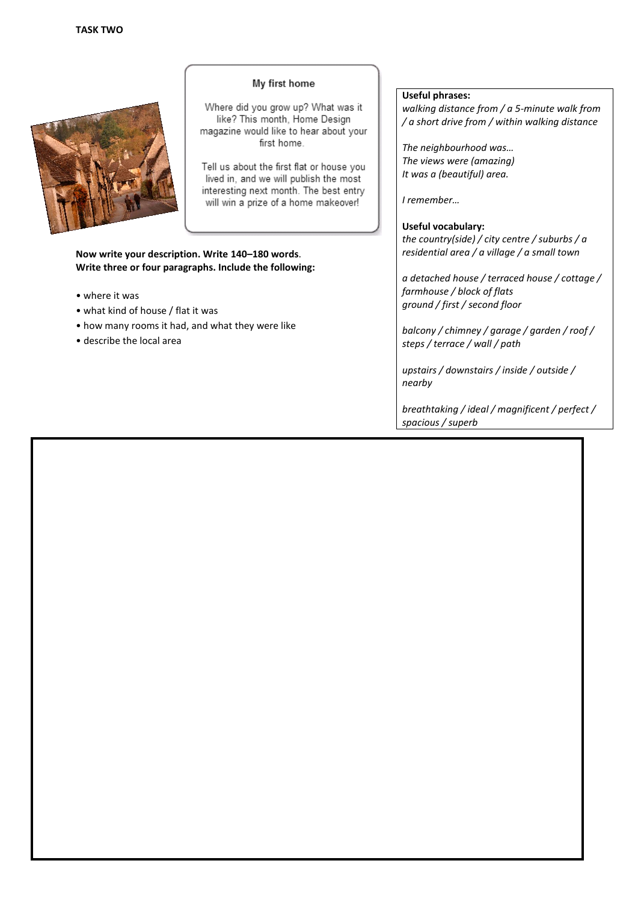

# My first home

Where did you grow up? What was it like? This month, Home Design magazine would like to hear about your first home.

Tell us about the first flat or house you lived in, and we will publish the most interesting next month. The best entry will win a prize of a home makeover!

**Now write your description. Write 140–180 words**. **Write three or four paragraphs. Include the following:**

- where it was
- what kind of house / flat it was
- how many rooms it had, and what they were like
- describe the local area

### **Useful phrases:**

*walking distance from / a 5-minute walk from / a short drive from / within walking distance*

*The neighbourhood was… The views were (amazing) It was a (beautiful) area.*

*I remember…*

#### **Useful vocabulary:**

*the country(side) / city centre / suburbs / a residential area / a village / a small town*

*a detached house / terraced house / cottage / farmhouse / block of flats ground / first / second floor*

*balcony / chimney / garage / garden / roof / steps / terrace / wall / path*

*upstairs / downstairs / inside / outside / nearby*

*breathtaking / ideal / magnificent / perfect / spacious / superb*